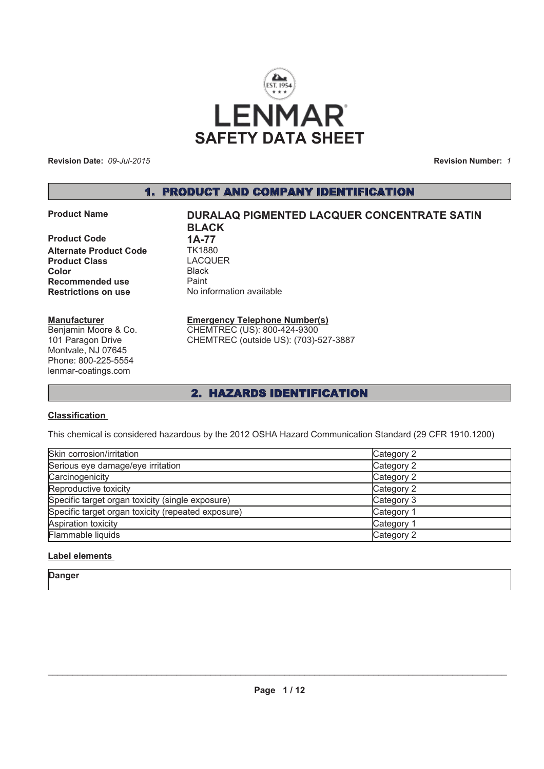

**Revision Date:** *09-Jul-2015*

**Revision Number:** *1*

### 1. PRODUCT AND COMPANY IDENTIFICATION

**Product Code 1A-77**<br>**Alternate Product Code** TK1880 **Alternate Product Code Product Class** LACQUER **Color** Black **Recommended use** Paint **Restrictions on use** No information available

#### **Manufacturer**

Benjamin Moore & Co. 101 Paragon Drive Montvale, NJ 07645 Phone: 800-225-5554 lenmar-coatings.com

# **Product Name CONCENTED DURALAQ PIGMENTED LACQUER CONCENTRATE SATIN BLACK**

#### **Emergency Telephone Number(s)** CHEMTREC (US): 800-424-9300

CHEMTREC (outside US): (703)-527-3887

### 2. HAZARDS IDENTIFICATION

#### **Classification**

This chemical is considered hazardous by the 2012 OSHA Hazard Communication Standard (29 CFR 1910.1200)

| Skin corrosion/irritation                          | Category 2 |
|----------------------------------------------------|------------|
| Serious eye damage/eye irritation                  | Category 2 |
| Carcinogenicity                                    | Category 2 |
| Reproductive toxicity                              | Category 2 |
| Specific target organ toxicity (single exposure)   | Category 3 |
| Specific target organ toxicity (repeated exposure) | Category 1 |
| Aspiration toxicity                                | Category 1 |
| Flammable liquids                                  | Category 2 |

### **Label elements**

**Danger**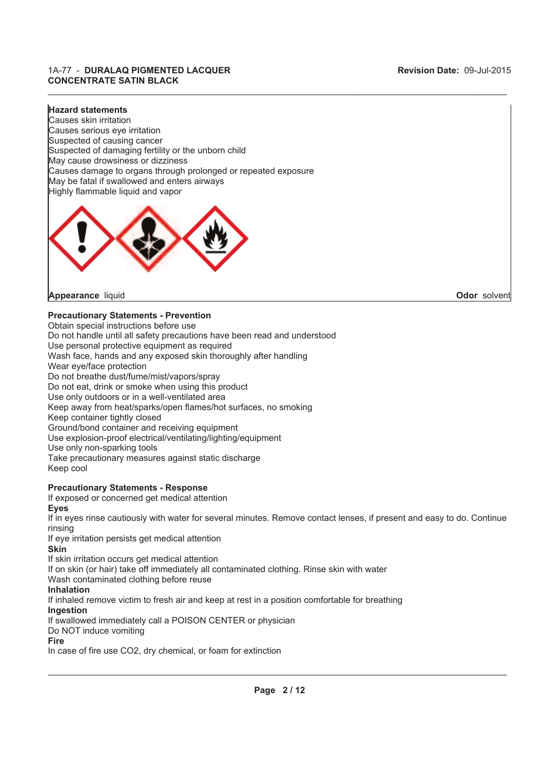#### **Hazard statements**

Highly flammable liquid and vapor Causes skin irritation Causes serious eye irritation Suspected of causing cancer Suspected of damaging fertility or the unborn child May cause drowsiness or dizziness Causes damage to organs through prolonged or repeated exposure May be fatal if swallowed and enters airways

 $\_$  , and the state of the state of the state of the state of the state of the state of the state of the state of the state of the state of the state of the state of the state of the state of the state of the state of the



**Appearance** liquid **Odor** solvent

### **Precautionary Statements - Prevention**

Obtain special instructions before use Do not handle until all safety precautions have been read and understood Use personal protective equipment as required Wash face, hands and any exposed skin thoroughly after handling Wear eye/face protection Do not breathe dust/fume/mist/vapors/spray Do not eat, drink or smoke when using this product Use only outdoors or in a well-ventilated area Keep away from heat/sparks/open flames/hot surfaces, no smoking Keep container tightly closed Ground/bond container and receiving equipment Use explosion-proof electrical/ventilating/lighting/equipment Use only non-sparking tools Take precautionary measures against static discharge Keep cool **Precautionary Statements - Response** If exposed or concerned get medical attention **Eyes** If in eyes rinse cautiously with water for several minutes. Remove contact lenses, if present and easy to do. Continue rinsing If eye irritation persists get medical attention **Skin** If skin irritation occurs get medical attention If on skin (or hair) take off immediately all contaminated clothing. Rinse skin with water Wash contaminated clothing before reuse **Inhalation** If inhaled remove victim to fresh air and keep at rest in a position comfortable for breathing

**Ingestion**

If swallowed immediately call a POISON CENTER or physician

Do NOT induce vomiting

#### **Fire**

In case of fire use CO2, dry chemical, or foam for extinction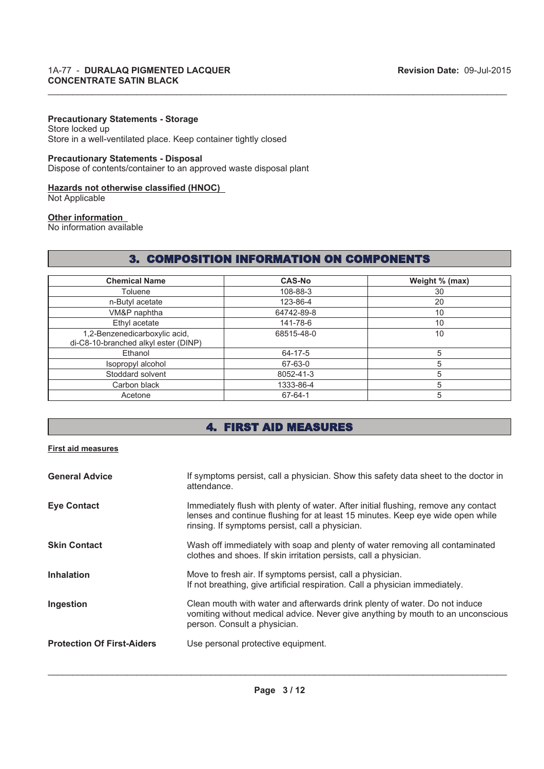#### **Precautionary Statements - Storage**

Store locked up Store in a well-ventilated place. Keep container tightly closed

#### **Precautionary Statements - Disposal**

Dispose of contents/container to an approved waste disposal plant

#### **Hazards not otherwise classified (HNOC)**

Not Applicable

#### **Other information**

No information available

### 3. COMPOSITION INFORMATION ON COMPONENTS

 $\_$  , and the state of the state of the state of the state of the state of the state of the state of the state of the state of the state of the state of the state of the state of the state of the state of the state of the

| <b>Chemical Name</b>                                                  | <b>CAS-No</b> | Weight % (max) |
|-----------------------------------------------------------------------|---------------|----------------|
| Toluene                                                               | 108-88-3      | 30             |
| n-Butyl acetate                                                       | 123-86-4      | 20             |
| VM&P naphtha                                                          | 64742-89-8    | 10             |
| Ethyl acetate                                                         | 141-78-6      | 10             |
| 1,2-Benzenedicarboxylic acid,<br>di-C8-10-branched alkyl ester (DINP) | 68515-48-0    | 10             |
| Ethanol                                                               | 64-17-5       | 5              |
| Isopropyl alcohol                                                     | 67-63-0       | 5              |
| Stoddard solvent                                                      | 8052-41-3     |                |
| Carbon black                                                          | 1333-86-4     | 5              |
| Acetone                                                               | 67-64-1       | 5              |

### 4. FIRST AID MEASURES

#### **First aid measures**

| <b>General Advice</b>             | If symptoms persist, call a physician. Show this safety data sheet to the doctor in<br>attendance.                                                                                                                      |
|-----------------------------------|-------------------------------------------------------------------------------------------------------------------------------------------------------------------------------------------------------------------------|
| <b>Eye Contact</b>                | Immediately flush with plenty of water. After initial flushing, remove any contact<br>lenses and continue flushing for at least 15 minutes. Keep eye wide open while<br>rinsing. If symptoms persist, call a physician. |
| <b>Skin Contact</b>               | Wash off immediately with soap and plenty of water removing all contaminated<br>clothes and shoes. If skin irritation persists, call a physician.                                                                       |
| <b>Inhalation</b>                 | Move to fresh air. If symptoms persist, call a physician.<br>If not breathing, give artificial respiration. Call a physician immediately.                                                                               |
| Ingestion                         | Clean mouth with water and afterwards drink plenty of water. Do not induce<br>vomiting without medical advice. Never give anything by mouth to an unconscious<br>person. Consult a physician.                           |
| <b>Protection Of First-Aiders</b> | Use personal protective equipment.                                                                                                                                                                                      |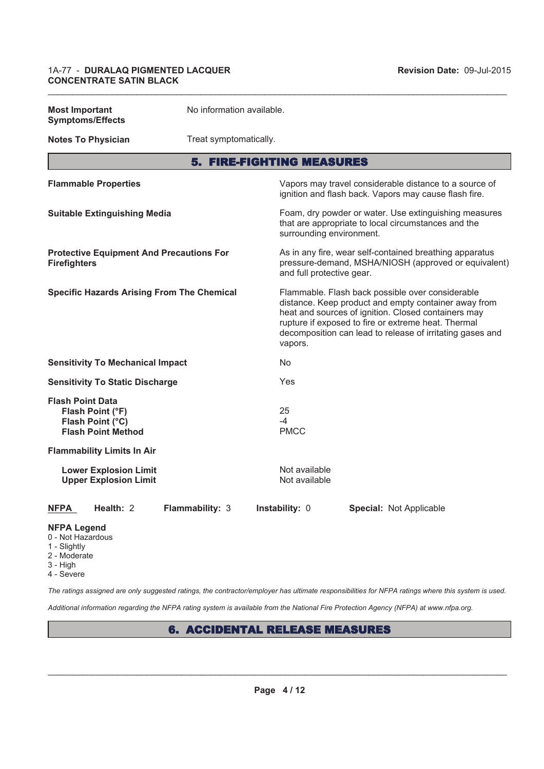| <b>Most Important</b><br><b>Symptoms/Effects</b>                                             | No information available.        |                                                                                                                                                                                                                                                                                                |                                                                                                                 |  |
|----------------------------------------------------------------------------------------------|----------------------------------|------------------------------------------------------------------------------------------------------------------------------------------------------------------------------------------------------------------------------------------------------------------------------------------------|-----------------------------------------------------------------------------------------------------------------|--|
| <b>Notes To Physician</b>                                                                    | Treat symptomatically.           |                                                                                                                                                                                                                                                                                                |                                                                                                                 |  |
|                                                                                              | <b>5. FIRE-FIGHTING MEASURES</b> |                                                                                                                                                                                                                                                                                                |                                                                                                                 |  |
| <b>Flammable Properties</b>                                                                  |                                  |                                                                                                                                                                                                                                                                                                | Vapors may travel considerable distance to a source of<br>ignition and flash back. Vapors may cause flash fire. |  |
| <b>Suitable Extinguishing Media</b>                                                          |                                  | surrounding environment.                                                                                                                                                                                                                                                                       | Foam, dry powder or water. Use extinguishing measures<br>that are appropriate to local circumstances and the    |  |
| <b>Protective Equipment And Precautions For</b><br><b>Firefighters</b>                       |                                  | and full protective gear.                                                                                                                                                                                                                                                                      | As in any fire, wear self-contained breathing apparatus<br>pressure-demand, MSHA/NIOSH (approved or equivalent) |  |
| <b>Specific Hazards Arising From The Chemical</b>                                            |                                  | Flammable. Flash back possible over considerable<br>distance. Keep product and empty container away from<br>heat and sources of ignition. Closed containers may<br>rupture if exposed to fire or extreme heat. Thermal<br>decomposition can lead to release of irritating gases and<br>vapors. |                                                                                                                 |  |
| <b>Sensitivity To Mechanical Impact</b>                                                      |                                  | N <sub>o</sub>                                                                                                                                                                                                                                                                                 |                                                                                                                 |  |
| <b>Sensitivity To Static Discharge</b>                                                       |                                  | Yes                                                                                                                                                                                                                                                                                            |                                                                                                                 |  |
| <b>Flash Point Data</b><br>Flash Point (°F)<br>Flash Point (°C)<br><b>Flash Point Method</b> |                                  | 25<br>-4<br><b>PMCC</b>                                                                                                                                                                                                                                                                        |                                                                                                                 |  |
| <b>Flammability Limits In Air</b>                                                            |                                  |                                                                                                                                                                                                                                                                                                |                                                                                                                 |  |
| <b>Lower Explosion Limit</b><br><b>Upper Explosion Limit</b>                                 |                                  | Not available<br>Not available                                                                                                                                                                                                                                                                 |                                                                                                                 |  |
| Health: 2<br>NFPA                                                                            | Flammability: 3                  | Instability: 0                                                                                                                                                                                                                                                                                 | Special: Not Applicable                                                                                         |  |
| <b>NFPA Legend</b><br>0 - Not Hazardous<br>1 - Slightly                                      |                                  |                                                                                                                                                                                                                                                                                                |                                                                                                                 |  |

 $\_$  , and the state of the state of the state of the state of the state of the state of the state of the state of the state of the state of the state of the state of the state of the state of the state of the state of the

- 
- 
- 2 Moderate
- 3 High
- 4 Severe

*The ratings assigned are only suggested ratings, the contractor/employer has ultimate responsibilities for NFPA ratings where this system is used.*

*Additional information regarding the NFPA rating system is available from the National Fire Protection Agency (NFPA) at www.nfpa.org.*

## 6. ACCIDENTAL RELEASE MEASURES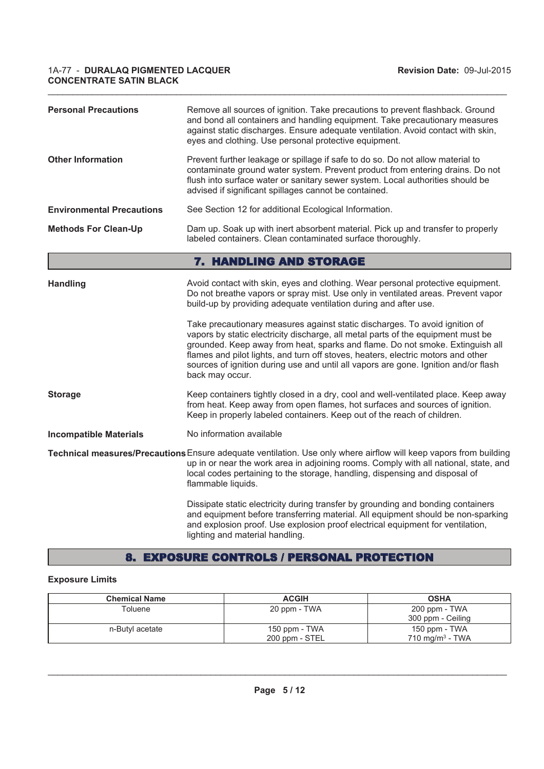| <b>Personal Precautions</b>      | Remove all sources of ignition. Take precautions to prevent flashback. Ground<br>and bond all containers and handling equipment. Take precautionary measures<br>against static discharges. Ensure adequate ventilation. Avoid contact with skin,<br>eyes and clothing. Use personal protective equipment.                                                                                                                                      |
|----------------------------------|------------------------------------------------------------------------------------------------------------------------------------------------------------------------------------------------------------------------------------------------------------------------------------------------------------------------------------------------------------------------------------------------------------------------------------------------|
| <b>Other Information</b>         | Prevent further leakage or spillage if safe to do so. Do not allow material to<br>contaminate ground water system. Prevent product from entering drains. Do not<br>flush into surface water or sanitary sewer system. Local authorities should be<br>advised if significant spillages cannot be contained.                                                                                                                                     |
| <b>Environmental Precautions</b> | See Section 12 for additional Ecological Information.                                                                                                                                                                                                                                                                                                                                                                                          |
| <b>Methods For Clean-Up</b>      | Dam up. Soak up with inert absorbent material. Pick up and transfer to properly<br>labeled containers. Clean contaminated surface thoroughly.                                                                                                                                                                                                                                                                                                  |
|                                  | 7. HANDLING AND STORAGE                                                                                                                                                                                                                                                                                                                                                                                                                        |
| <b>Handling</b>                  | Avoid contact with skin, eyes and clothing. Wear personal protective equipment.<br>Do not breathe vapors or spray mist. Use only in ventilated areas. Prevent vapor<br>build-up by providing adequate ventilation during and after use.                                                                                                                                                                                                        |
|                                  | Take precautionary measures against static discharges. To avoid ignition of<br>vapors by static electricity discharge, all metal parts of the equipment must be<br>grounded. Keep away from heat, sparks and flame. Do not smoke. Extinguish all<br>flames and pilot lights, and turn off stoves, heaters, electric motors and other<br>sources of ignition during use and until all vapors are gone. Ignition and/or flash<br>back may occur. |
| <b>Storage</b>                   | Keep containers tightly closed in a dry, cool and well-ventilated place. Keep away<br>from heat. Keep away from open flames, hot surfaces and sources of ignition.<br>Keep in properly labeled containers. Keep out of the reach of children.                                                                                                                                                                                                  |
| <b>Incompatible Materials</b>    | No information available                                                                                                                                                                                                                                                                                                                                                                                                                       |
|                                  | Technical measures/Precautions Ensure adequate ventilation. Use only where airflow will keep vapors from building<br>up in or near the work area in adjoining rooms. Comply with all national, state, and<br>local codes pertaining to the storage, handling, dispensing and disposal of<br>flammable liquids.                                                                                                                                 |
|                                  | Dissipate static electricity during transfer by grounding and bonding containers<br>and equipment before transferring material. All equipment should be non-sparking<br>and explosion proof. Use explosion proof electrical equipment for ventilation,<br>lighting and material handling.                                                                                                                                                      |

 $\_$  , and the state of the state of the state of the state of the state of the state of the state of the state of the state of the state of the state of the state of the state of the state of the state of the state of the

### 8. EXPOSURE CONTROLS / PERSONAL PROTECTION

### **Exposure Limits**

| <b>Chemical Name</b> | <b>ACGIH</b>                    | <b>OSHA</b>                                 |
|----------------------|---------------------------------|---------------------------------------------|
| Toluene              | 20 ppm - TWA                    | 200 ppm - TWA<br>300 ppm - Ceiling          |
| n-Butyl acetate      | 150 ppm - TWA<br>200 ppm - STEL | 150 ppm - TWA<br>$710 \text{ ma/m}^3$ - TWA |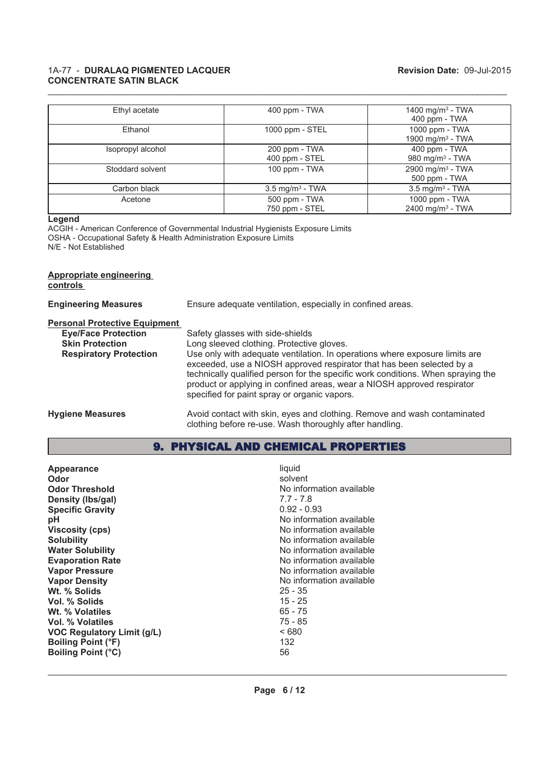| Ethyl acetate     | 400 ppm - TWA                   | 1400 mg/m <sup>3</sup> - TWA<br>400 ppm - TWA  |
|-------------------|---------------------------------|------------------------------------------------|
| Ethanol           | 1000 ppm - STEL                 | 1000 ppm - TWA<br>1900 mg/m <sup>3</sup> - TWA |
| Isopropyl alcohol | 200 ppm - TWA<br>400 ppm - STEL | 400 ppm - TWA<br>980 mg/m $3$ - TWA            |
| Stoddard solvent  | 100 ppm - TWA                   | 2900 mg/m <sup>3</sup> - TWA<br>500 ppm - TWA  |
| Carbon black      | $3.5 \text{ mg/m}^3$ - TWA      | $3.5$ mg/m <sup>3</sup> - TWA                  |
| Acetone           | 500 ppm - TWA<br>750 ppm - STEL | 1000 ppm - TWA<br>2400 mg/m <sup>3</sup> - TWA |

 $\_$  , and the state of the state of the state of the state of the state of the state of the state of the state of the state of the state of the state of the state of the state of the state of the state of the state of the

#### **Legend**

ACGIH - American Conference of Governmental Industrial Hygienists Exposure Limits OSHA - Occupational Safety & Health Administration Exposure Limits N/E - Not Established

#### **Appropriate engineering controls**

| <b>Engineering Measures</b>                                                                                                   | Ensure adequate ventilation, especially in confined areas.                                                                                                                                                                                                                                                                                                                                                                                           |
|-------------------------------------------------------------------------------------------------------------------------------|------------------------------------------------------------------------------------------------------------------------------------------------------------------------------------------------------------------------------------------------------------------------------------------------------------------------------------------------------------------------------------------------------------------------------------------------------|
| <b>Personal Protective Equipment</b><br><b>Eye/Face Protection</b><br><b>Skin Protection</b><br><b>Respiratory Protection</b> | Safety glasses with side-shields<br>Long sleeved clothing. Protective gloves.<br>Use only with adequate ventilation. In operations where exposure limits are<br>exceeded, use a NIOSH approved respirator that has been selected by a<br>technically qualified person for the specific work conditions. When spraying the<br>product or applying in confined areas, wear a NIOSH approved respirator<br>specified for paint spray or organic vapors. |
| <b>Hygiene Measures</b>                                                                                                       | Avoid contact with skin, eyes and clothing. Remove and wash contaminated<br>clothing before re-use. Wash thoroughly after handling.                                                                                                                                                                                                                                                                                                                  |

### 9. PHYSICAL AND CHEMICAL PROPERTIES

| No information available<br><b>Odor Threshold</b><br>Density (Ibs/gal)<br><b>Specific Gravity</b><br>рH<br><b>Viscosity (cps)</b><br><b>Solubility</b><br><b>Water Solubility</b><br><b>Evaporation Rate</b><br><b>Vapor Pressure</b><br><b>Vapor Density</b><br>Wt. % Solids<br>Vol. % Solids<br>Wt. % Volatiles<br>Vol. % Volatiles<br><b>VOC Regulatory Limit (g/L)</b><br><b>Boiling Point (°F)</b><br><b>Boiling Point (°C)</b> | $7.7 - 7.8$<br>$0.92 - 0.93$<br>No information available<br>No information available<br>No information available<br>No information available<br>No information available<br>No information available<br>No information available<br>$25 - 35$<br>15 - 25<br>$65 - 75$<br>$75 - 85$<br><680<br>132<br>56 |
|--------------------------------------------------------------------------------------------------------------------------------------------------------------------------------------------------------------------------------------------------------------------------------------------------------------------------------------------------------------------------------------------------------------------------------------|---------------------------------------------------------------------------------------------------------------------------------------------------------------------------------------------------------------------------------------------------------------------------------------------------------|
|--------------------------------------------------------------------------------------------------------------------------------------------------------------------------------------------------------------------------------------------------------------------------------------------------------------------------------------------------------------------------------------------------------------------------------------|---------------------------------------------------------------------------------------------------------------------------------------------------------------------------------------------------------------------------------------------------------------------------------------------------------|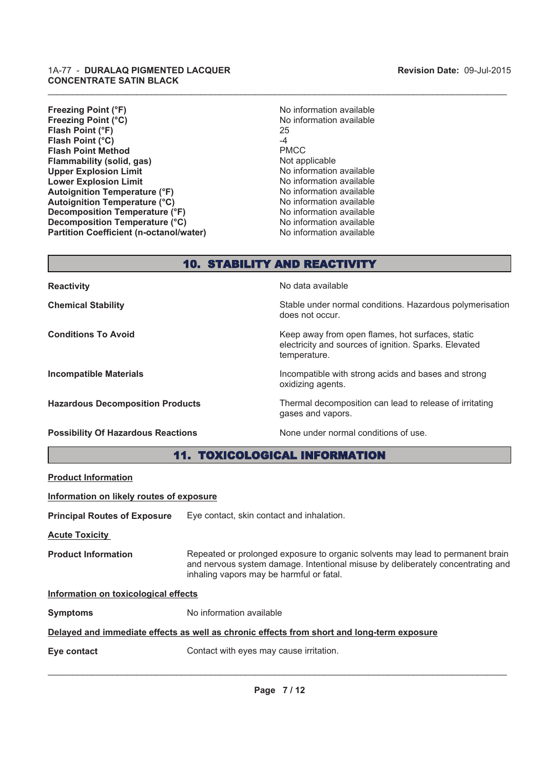#### **Revision Date:** 09-Jul-2015

#### 1A-77 - **DURALAQ PIGMENTED LACQUER CONCENTRATE SATIN BLACK**

**Freezing Point (°F)** No information available **Freezing Point (°C)** No information available **Flash Point (°F)** 25 **Flash Point (°C)** 4 **Flash Point Method** PMCC **Flammability (solid, gas)** Not applicable Not applicable Upper Explosion Limit Not applicable Not applicable Upper Explosion Limit **Upper Explosion Limit**<br> **Lower Explosion Limit**<br> **Lower Explosion Limit Lower Explosion Limit**<br> **Autoignition Temperature (°F)** No information available<br>
No information available **Autoignition Temperature (°F)**<br> **Autoignition Temperature (°C)** No information available **Autoignition Temperature (°C)**<br> **Decomposition Temperature (°F)** No information available<br>
No information available **Decomposition Temperature (°F) Decomposition Temperature (°C)** No information available **Partition Coefficient (n-octanol/water)** No information available

### 10. STABILITY AND REACTIVITY

 $\_$  , and the state of the state of the state of the state of the state of the state of the state of the state of the state of the state of the state of the state of the state of the state of the state of the state of the

**Reactivity No data available Reactivity** 

**Chemical Stability** Stable under normal conditions. Hazardous polymerisation

**Possibility Of Hazardous Reactions** None under normal conditions of use.

does not occur.

**Conditions To Avoid** Conditions **Keep away from open flames, hot surfaces, static** electricity and sources of ignition. Sparks. Elevated temperature.

**Incompatible Materials Incompatible with strong acids and bases and strong** oxidizing agents.

**Hazardous Decomposition Products** Thermal decomposition can lead to release of irritating gases and vapors.

11. TOXICOLOGICAL INFORMATION

# **Product Information**

**Information on likely routes of exposure**

**Principal Routes of Exposure** Eye contact, skin contact and inhalation.

**Acute Toxicity** 

**Product Information** Repeated or prolonged exposure to organic solvents may lead to permanent brain and nervous system damage. Intentional misuse by deliberately concentrating and inhaling vapors may be harmful or fatal.

#### **Information on toxicological effects**

**Symptoms** No information available

#### **Delayed and immediate effects as well as chronic effects from short and long-term exposure**

**Eye contact Exercise Contact with eyes may cause irritation.**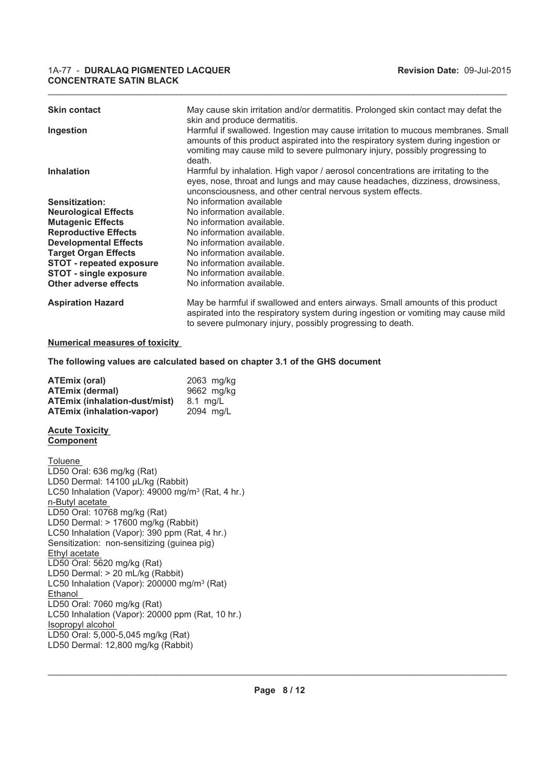#### 1A-77 - **DURALAQ PIGMENTED LACQUER Revision Date:** 09-Jul-2015 **CONCENTRATE SATIN BLACK**

| <b>Skin contact</b>             | May cause skin irritation and/or dermatitis. Prolonged skin contact may defat the<br>skin and produce dermatitis.                                                                                                                                             |
|---------------------------------|---------------------------------------------------------------------------------------------------------------------------------------------------------------------------------------------------------------------------------------------------------------|
| Ingestion                       | Harmful if swallowed. Ingestion may cause irritation to mucous membranes. Small<br>amounts of this product aspirated into the respiratory system during ingestion or<br>vomiting may cause mild to severe pulmonary injury, possibly progressing to<br>death. |
| <b>Inhalation</b>               | Harmful by inhalation. High vapor / aerosol concentrations are irritating to the<br>eyes, nose, throat and lungs and may cause headaches, dizziness, drowsiness,<br>unconsciousness, and other central nervous system effects.                                |
| Sensitization:                  | No information available                                                                                                                                                                                                                                      |
| <b>Neurological Effects</b>     | No information available.                                                                                                                                                                                                                                     |
| <b>Mutagenic Effects</b>        | No information available.                                                                                                                                                                                                                                     |
| <b>Reproductive Effects</b>     | No information available.                                                                                                                                                                                                                                     |
| <b>Developmental Effects</b>    | No information available.                                                                                                                                                                                                                                     |
| <b>Target Organ Effects</b>     | No information available.                                                                                                                                                                                                                                     |
| <b>STOT - repeated exposure</b> | No information available.                                                                                                                                                                                                                                     |
| <b>STOT - single exposure</b>   | No information available.                                                                                                                                                                                                                                     |
| Other adverse effects           | No information available.                                                                                                                                                                                                                                     |
| <b>Aspiration Hazard</b>        | May be harmful if swallowed and enters airways. Small amounts of this product                                                                                                                                                                                 |

to severe pulmonary injury, possibly progressing to death.

aspirated into the respiratory system during ingestion or vomiting may cause mild

 $\_$  , and the state of the state of the state of the state of the state of the state of the state of the state of the state of the state of the state of the state of the state of the state of the state of the state of the

**Numerical measures of toxicity** 

**The following values are calculated based on chapter 3.1 of the GHS document**

| <b>ATEmix (oral)</b>                 | 2063 mg/kg |
|--------------------------------------|------------|
| <b>ATEmix (dermal)</b>               | 9662 mg/kg |
| <b>ATEmix (inhalation-dust/mist)</b> | 8.1 mg/L   |
| <b>ATEmix (inhalation-vapor)</b>     | 2094 mg/L  |

#### **Acute Toxicity Component**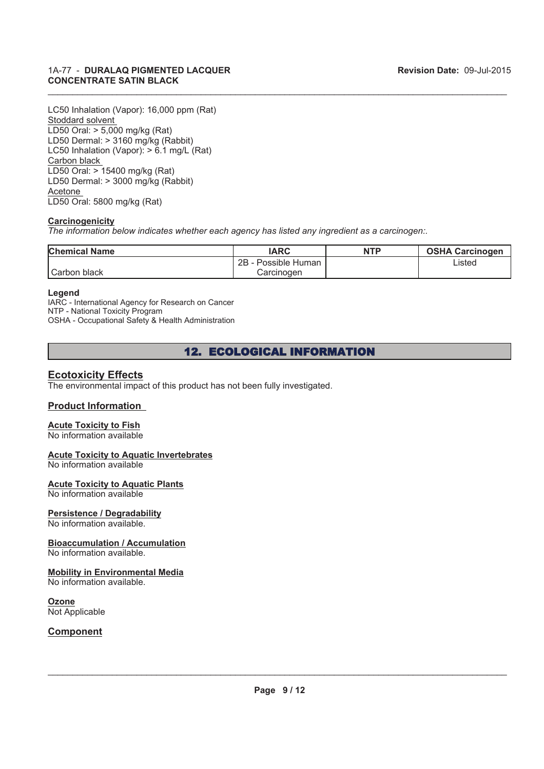LC50 Inhalation (Vapor): 16,000 ppm (Rat) Stoddard solvent LD50 Oral: > 5,000 mg/kg (Rat) LD50 Dermal: > 3160 mg/kg (Rabbit) LC50 Inhalation (Vapor): > 6.1 mg/L (Rat) Carbon black LD50 Oral: > 15400 mg/kg (Rat) LD50 Dermal: > 3000 mg/kg (Rabbit) Acetone LD50 Oral: 5800 mg/kg (Rat)

#### **Carcinogenicity**

*The information below indicates whether each agency has listed any ingredient as a carcinogen:.*

| <b>Chemical Name</b> | IARC                 | <b>NTP</b> | <b>OSHA Carcinogen</b> |
|----------------------|----------------------|------------|------------------------|
|                      | 2B<br>Possible Human |            | Listed                 |
| Carbon black         | Carcinoɑen           |            |                        |

 $\_$  , and the state of the state of the state of the state of the state of the state of the state of the state of the state of the state of the state of the state of the state of the state of the state of the state of the

#### **Legend**

IARC - International Agency for Research on Cancer NTP - National Toxicity Program OSHA - Occupational Safety & Health Administration

12. ECOLOGICAL INFORMATION

### **Ecotoxicity Effects**

The environmental impact of this product has not been fully investigated.

#### **Product Information**

#### **Acute Toxicity to Fish**

No information available

#### **Acute Toxicity to Aquatic Invertebrates**

No information available

#### **Acute Toxicity to Aquatic Plants**

No information available

### **Persistence / Degradability**

No information available.

#### **Bioaccumulation / Accumulation**

No information available.

#### **Mobility in Environmental Media**

No information available.

#### **Ozone**

Not Applicable

#### **Component**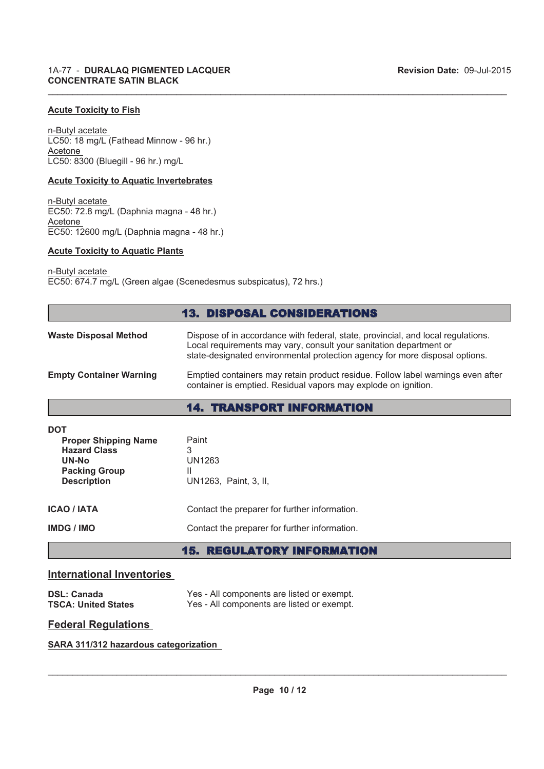#### **Acute Toxicity to Fish**

n-Butyl acetate LC50: 18 mg/L (Fathead Minnow - 96 hr.) Acetone LC50: 8300 (Bluegill - 96 hr.) mg/L

#### **Acute Toxicity to Aquatic Invertebrates**

n-Butyl acetate EC50: 72.8 mg/L (Daphnia magna - 48 hr.) Acetone EC50: 12600 mg/L (Daphnia magna - 48 hr.)

#### **Acute Toxicity to Aquatic Plants**

n-Butyl acetate

EC50: 674.7 mg/L (Green algae (Scenedesmus subspicatus), 72 hrs.)

#### 13. DISPOSAL CONSIDERATIONS

 $\_$  , and the state of the state of the state of the state of the state of the state of the state of the state of the state of the state of the state of the state of the state of the state of the state of the state of the

| <b>Waste Disposal Method</b>   | Dispose of in accordance with federal, state, provincial, and local regulations.<br>Local requirements may vary, consult your sanitation department or<br>state-designated environmental protection agency for more disposal options. |
|--------------------------------|---------------------------------------------------------------------------------------------------------------------------------------------------------------------------------------------------------------------------------------|
| <b>Empty Container Warning</b> | Emptied containers may retain product residue. Follow label warnings even after<br>container is emptied. Residual vapors may explode on ignition.                                                                                     |

### 14. TRANSPORT INFORMATION

| DOT<br><b>Proper Shipping Name</b><br><b>Hazard Class</b><br>UN-No<br><b>Packing Group</b><br><b>Description</b> | Paint<br>3<br>UN1263<br>Ш<br>UN1263, Paint, 3, II,                                             |  |
|------------------------------------------------------------------------------------------------------------------|------------------------------------------------------------------------------------------------|--|
| <b>ICAO / IATA</b><br>IMDG / IMO                                                                                 | Contact the preparer for further information.<br>Contact the preparer for further information. |  |
|                                                                                                                  |                                                                                                |  |

### 15. REGULATORY INFORMATION

#### **International Inventories**

| <b>DSL: Canada</b>         |  |
|----------------------------|--|
| <b>TSCA: United States</b> |  |

Yes - All components are listed or exempt. Yes - All components are listed or exempt.

#### **Federal Regulations**

#### **SARA 311/312 hazardous categorization**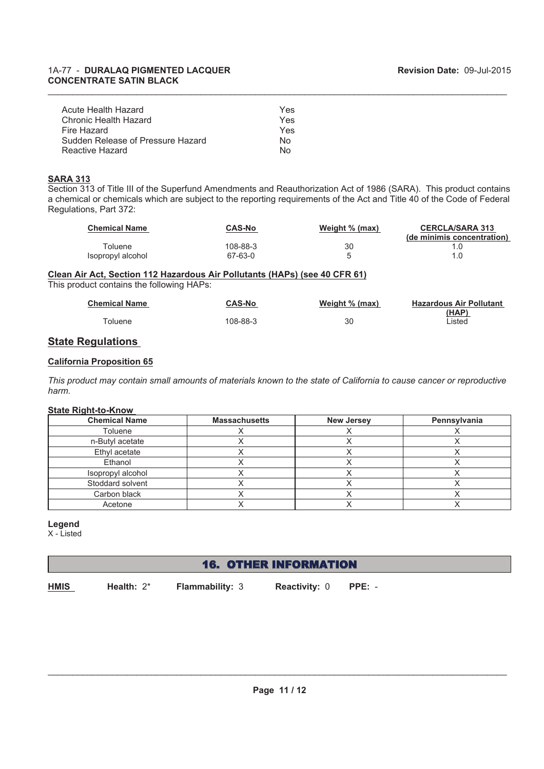| Acute Health Hazard               | Yes |
|-----------------------------------|-----|
| Chronic Health Hazard             | Yes |
| Fire Hazard                       | Yes |
| Sudden Release of Pressure Hazard | N٥  |
| Reactive Hazard                   | N∩  |

#### **SARA 313**

Section 313 of Title III of the Superfund Amendments and Reauthorization Act of 1986 (SARA). This product contains a chemical or chemicals which are subject to the reporting requirements of the Act and Title 40 of the Code of Federal Regulations, Part 372:

 $\_$  , and the state of the state of the state of the state of the state of the state of the state of the state of the state of the state of the state of the state of the state of the state of the state of the state of the

| <b>Chemical Name</b> | <b>CAS-No</b> | Weight % (max) | <b>CERCLA/SARA 313</b>     |
|----------------------|---------------|----------------|----------------------------|
|                      |               |                | (de minimis concentration) |
| <b>Toluene</b>       | 108-88-3      | 30             |                            |
| Isopropyl alcohol    | 67-63-0       |                |                            |

#### **Clean Air Act, Section 112 Hazardous Air Pollutants (HAPs) (see 40 CFR 61)** This product contains the following HAPs:

| <b>Chemical Name</b> | <b>CAS-No</b> | Weight % (max) | <b>Hazardous Air Pollutant</b> |
|----------------------|---------------|----------------|--------------------------------|
|                      |               |                | (HAP)                          |
| ™oluene              | 108-88-3      | 30             | Listed                         |

### **State Regulations**

#### **California Proposition 65**

*This product may contain small amounts of materials known to the state of California to cause cancer or reproductive harm.*

#### **State Right-to-Know**

| <b>Chemical Name</b> | <b>Massachusetts</b> | <b>New Jersey</b> | Pennsylvania |
|----------------------|----------------------|-------------------|--------------|
| Toluene              |                      |                   |              |
| n-Butyl acetate      |                      |                   |              |
| Ethyl acetate        |                      |                   |              |
| Ethanol              |                      |                   |              |
| Isopropyl alcohol    |                      |                   |              |
| Stoddard solvent     |                      |                   |              |
| Carbon black         |                      |                   |              |
| Acetone              |                      |                   |              |

#### **Legend**

X - Listed

### 16. OTHER INFORMATION

**HMIS**

**Health:** 2\* **Flammability:** 3

**Reactivity:** 0 **PPE:** -